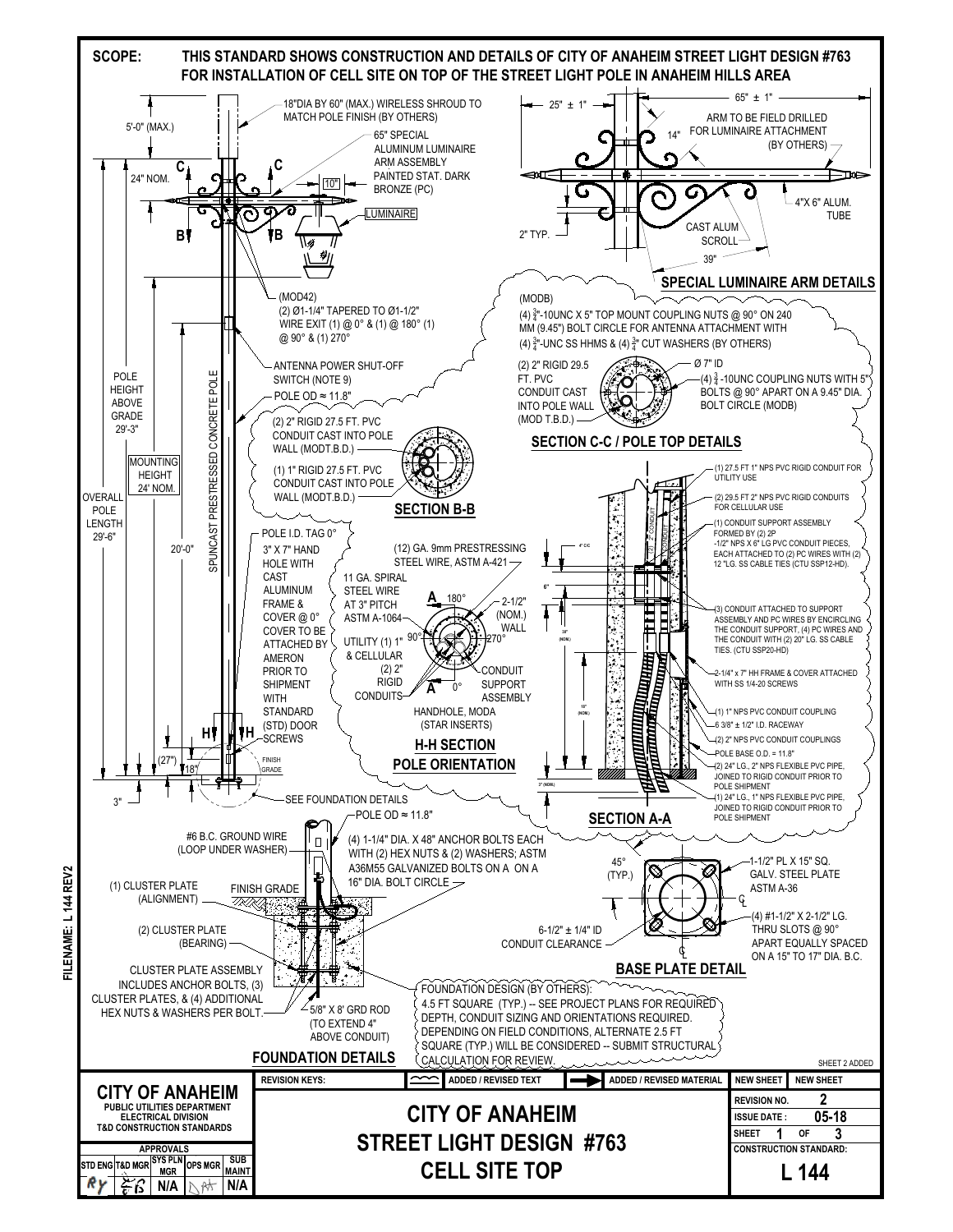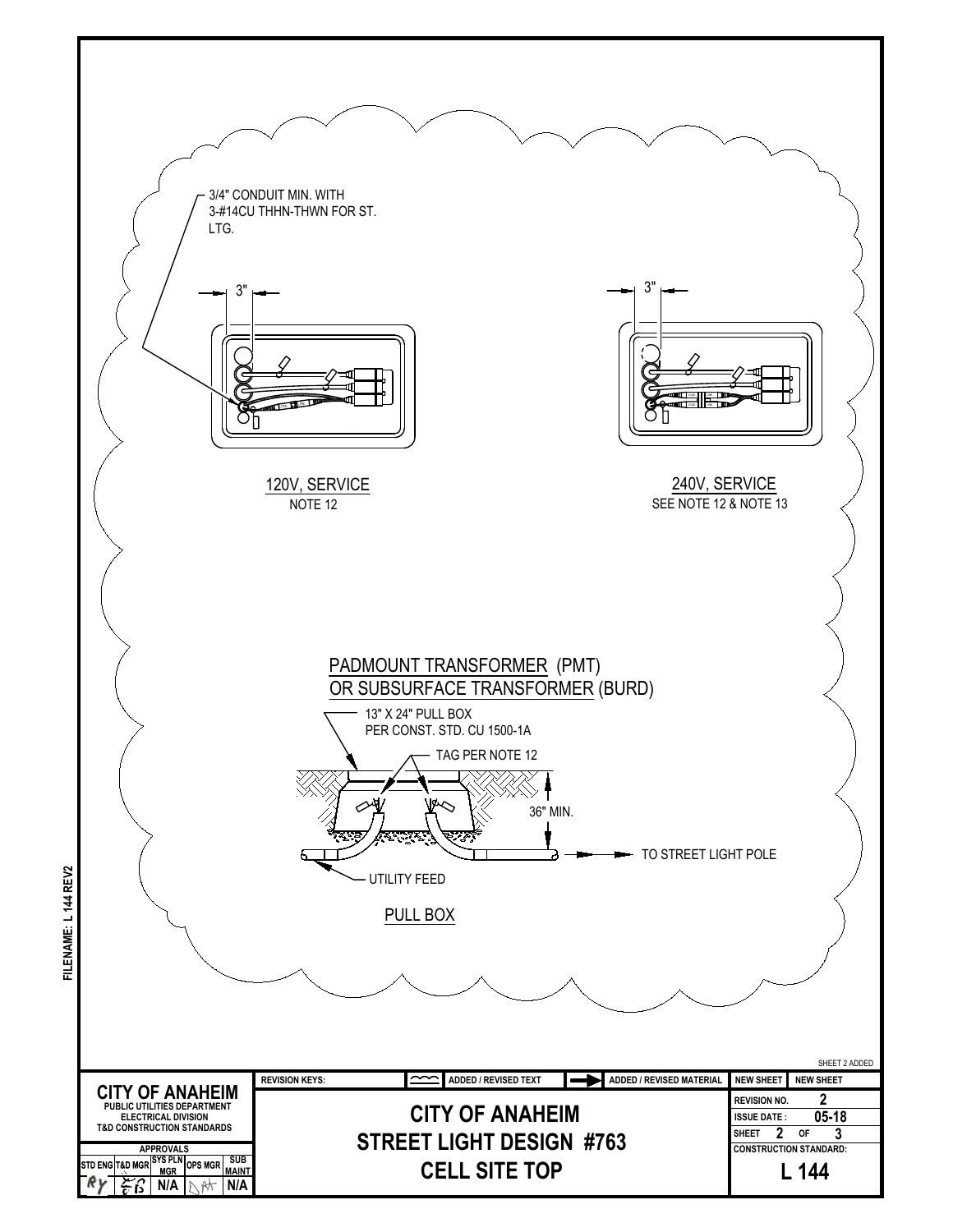